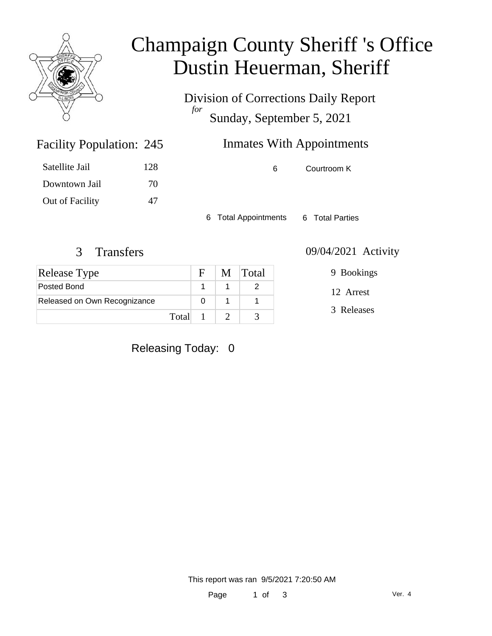

### Champaign County Sheriff 's Office Dustin Heuerman, Sheriff

Division of Corrections Daily Report *for* Sunday, September 5, 2021

# Inmates With Appointments

Satellite Jail 128 Downtown Jail 70 Out of Facility 47

Facility Population: 245

6 Courtroom K

6 Total Appointments 6 Total Parties

| <b>Release Type</b>          |         | $\mathbf{F}$ | M Total |
|------------------------------|---------|--------------|---------|
| Posted Bond                  |         |              |         |
| Released on Own Recognizance |         |              |         |
|                              | Total 1 |              |         |

3 Transfers 09/04/2021 Activity

9 Bookings

12 Arrest

3 Releases

Releasing Today: 0

This report was ran 9/5/2021 7:20:50 AM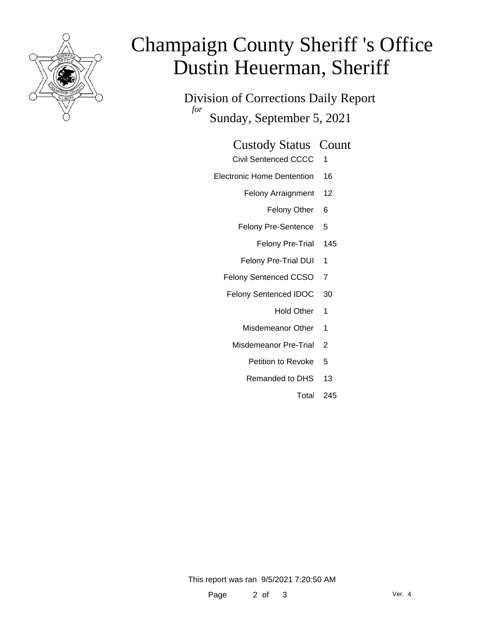

# Champaign County Sheriff 's Office Dustin Heuerman, Sheriff

Division of Corrections Daily Report *for* Sunday, September 5, 2021

### Custody Status Count

- Civil Sentenced CCCC 1
- Electronic Home Dentention 16
	- Felony Arraignment 12
		- Felony Other 6
	- Felony Pre-Sentence 5
		- Felony Pre-Trial 145
	- Felony Pre-Trial DUI 1
	- Felony Sentenced CCSO 7
	- Felony Sentenced IDOC 30
		- Hold Other 1
		- Misdemeanor Other 1
		- Misdemeanor Pre-Trial 2
			- Petition to Revoke 5
			- Remanded to DHS 13
				- Total 245

This report was ran 9/5/2021 7:20:50 AM